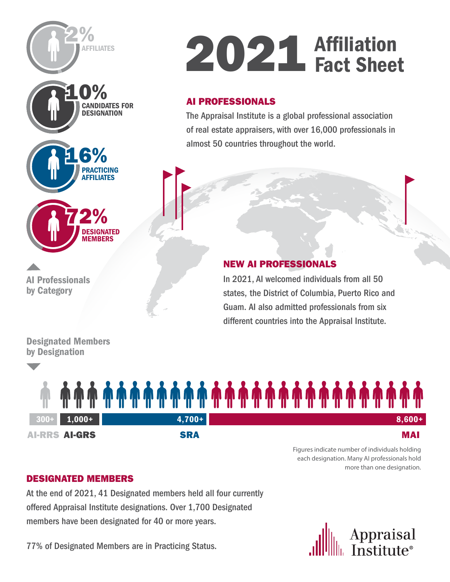



Figures indicate number of individuals holding each designation. Many AI professionals hold more than one designation.

## [DESIGNATED MEMBERS](https://www.appraisalinstitute.org/our-designations/)

At the end of 2021, 41 Designated members held all four currently offered Appraisal Institute designations. Over 1,700 Designated members have been designated for 40 or more years.

77% of Designated Members are in Practicing Status.